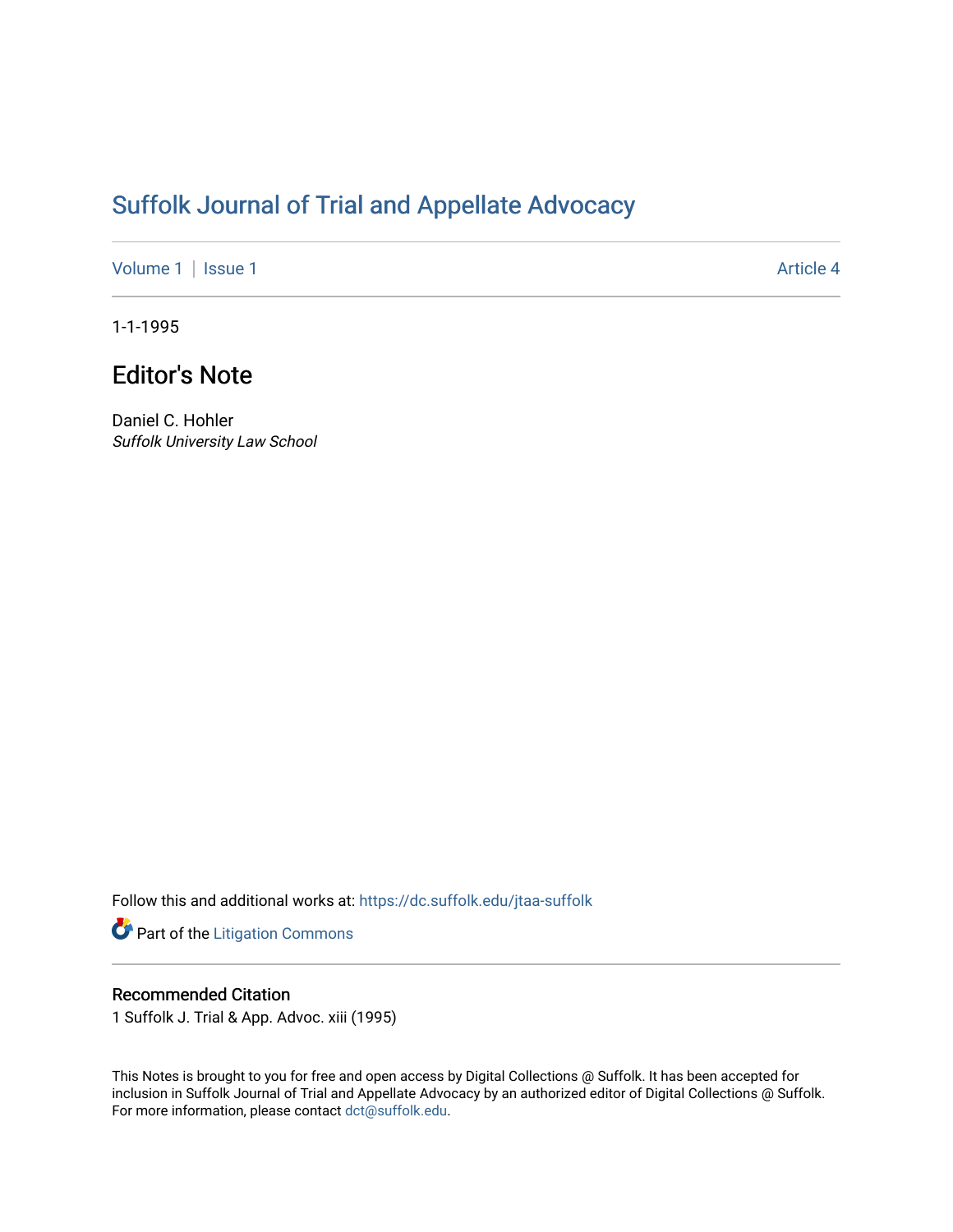## [Suffolk Journal of Trial and Appellate Advocacy](https://dc.suffolk.edu/jtaa-suffolk)

[Volume 1](https://dc.suffolk.edu/jtaa-suffolk/vol1) | [Issue 1](https://dc.suffolk.edu/jtaa-suffolk/vol1/iss1) Article 4

1-1-1995

## Editor's Note

Daniel C. Hohler Suffolk University Law School

Follow this and additional works at: [https://dc.suffolk.edu/jtaa-suffolk](https://dc.suffolk.edu/jtaa-suffolk?utm_source=dc.suffolk.edu%2Fjtaa-suffolk%2Fvol1%2Fiss1%2F4&utm_medium=PDF&utm_campaign=PDFCoverPages) 

Part of the [Litigation Commons](https://network.bepress.com/hgg/discipline/910?utm_source=dc.suffolk.edu%2Fjtaa-suffolk%2Fvol1%2Fiss1%2F4&utm_medium=PDF&utm_campaign=PDFCoverPages)

## Recommended Citation

1 Suffolk J. Trial & App. Advoc. xiii (1995)

This Notes is brought to you for free and open access by Digital Collections @ Suffolk. It has been accepted for inclusion in Suffolk Journal of Trial and Appellate Advocacy by an authorized editor of Digital Collections @ Suffolk. For more information, please contact [dct@suffolk.edu](mailto:dct@suffolk.edu).